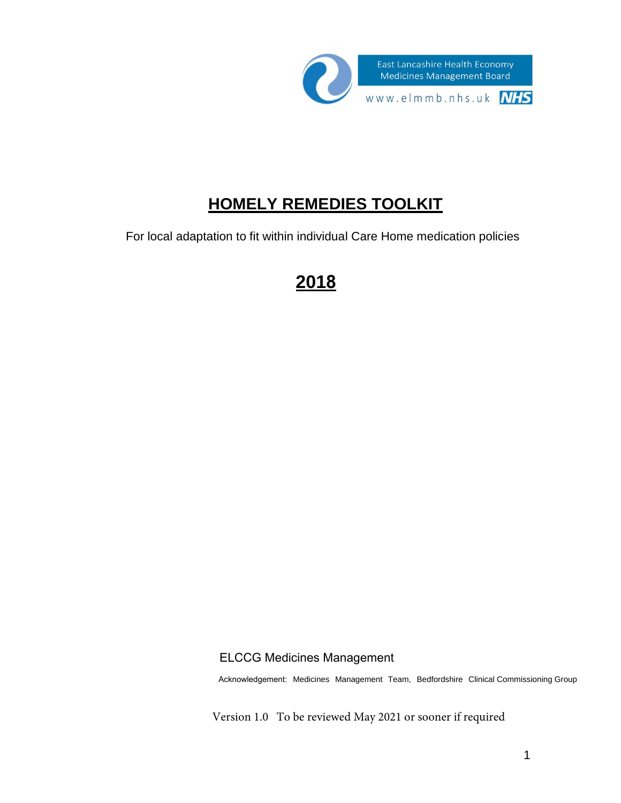

# **HOMELY REMEDIES TOOLKIT**

For local adaptation to fit within individual Care Home medication policies

# **2018**

## ELCCG Medicines Management

Acknowledgement: Medicines Management Team, Bedfordshire Clinical Commissioning Group

Version 1.0 To be reviewed May 2021 or sooner if required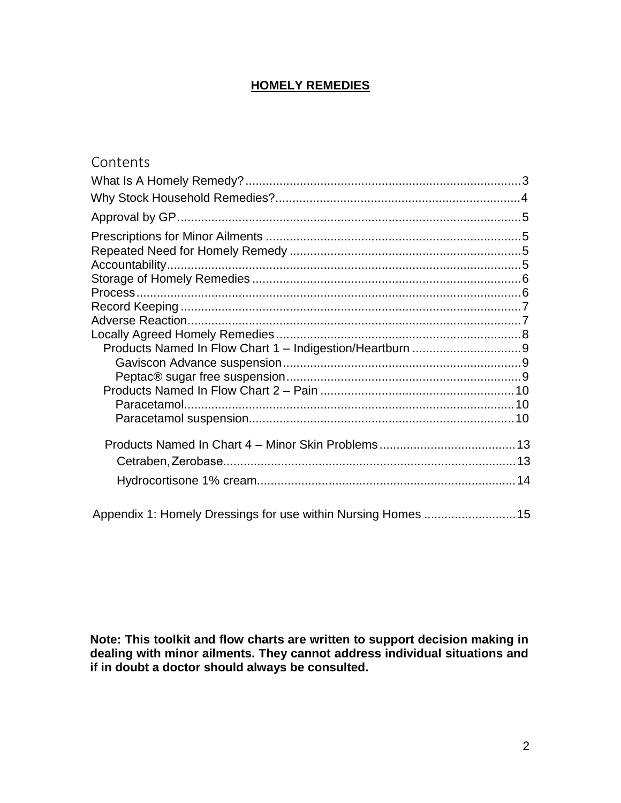# **HOMELY REMEDIES**

| Contents                                                     |  |
|--------------------------------------------------------------|--|
|                                                              |  |
|                                                              |  |
|                                                              |  |
|                                                              |  |
|                                                              |  |
|                                                              |  |
|                                                              |  |
|                                                              |  |
|                                                              |  |
|                                                              |  |
|                                                              |  |
|                                                              |  |
|                                                              |  |
|                                                              |  |
|                                                              |  |
|                                                              |  |
|                                                              |  |
|                                                              |  |
|                                                              |  |
|                                                              |  |
| Appendix 1: Homely Dressings for use within Nursing Homes 15 |  |

**Note: This toolkit and flow charts are written to support decision making in dealing with minor ailments. They cannot address individual situations and if in doubt a doctor should always be consulted.**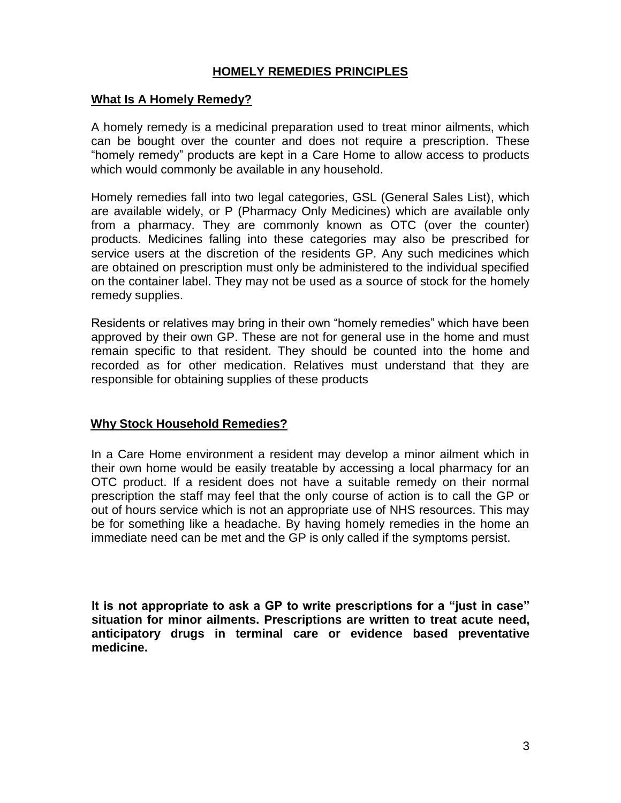# **HOMELY REMEDIES PRINCIPLES**

### <span id="page-2-0"></span>**What Is A Homely Remedy?**

A homely remedy is a medicinal preparation used to treat minor ailments, which can be bought over the counter and does not require a prescription. These "homely remedy" products are kept in a Care Home to allow access to products which would commonly be available in any household.

Homely remedies fall into two legal categories, GSL (General Sales List), which are available widely, or P (Pharmacy Only Medicines) which are available only from a pharmacy. They are commonly known as OTC (over the counter) products. Medicines falling into these categories may also be prescribed for service users at the discretion of the residents GP. Any such medicines which are obtained on prescription must only be administered to the individual specified on the container label. They may not be used as a source of stock for the homely remedy supplies.

Residents or relatives may bring in their own "homely remedies" which have been approved by their own GP. These are not for general use in the home and must remain specific to that resident. They should be counted into the home and recorded as for other medication. Relatives must understand that they are responsible for obtaining supplies of these products

### <span id="page-2-1"></span>**Why Stock Household Remedies?**

In a Care Home environment a resident may develop a minor ailment which in their own home would be easily treatable by accessing a local pharmacy for an OTC product. If a resident does not have a suitable remedy on their normal prescription the staff may feel that the only course of action is to call the GP or out of hours service which is not an appropriate use of NHS resources. This may be for something like a headache. By having homely remedies in the home an immediate need can be met and the GP is only called if the symptoms persist.

<span id="page-2-2"></span>**It is not appropriate to ask a GP to write prescriptions for a "just in case" situation for minor ailments. Prescriptions are written to treat acute need, anticipatory drugs in terminal care or evidence based preventative medicine.**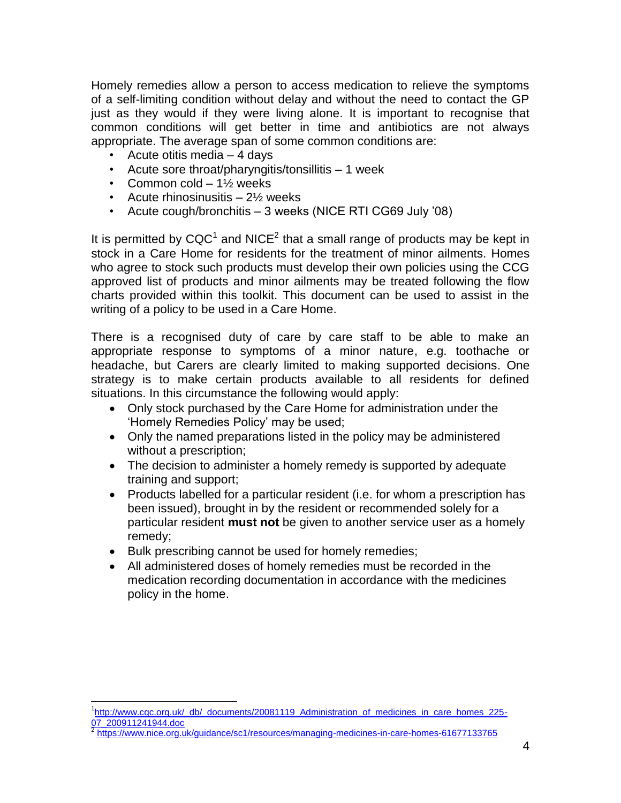Homely remedies allow a person to access medication to relieve the symptoms of a self-limiting condition without delay and without the need to contact the GP just as they would if they were living alone. It is important to recognise that common conditions will get better in time and antibiotics are not always appropriate. The average span of some common conditions are:

- Acute otitis media 4 days
- Acute sore throat/pharyngitis/tonsillitis 1 week
- Common cold  $-1\frac{1}{2}$  weeks
- Acute rhinosinusitis 2<sup>1</sup>/<sub>2</sub> weeks
- Acute cough/bronchitis 3 weeks (NICE RTI CG69 July '08)

It is permitted by  $CQC<sup>1</sup>$  and NICE<sup>2</sup> that a small range of products may be kept in stock in a Care Home for residents for the treatment of minor ailments. Homes who agree to stock such products must develop their own policies using the CCG approved list of products and minor ailments may be treated following the flow charts provided within this toolkit. This document can be used to assist in the writing of a policy to be used in a Care Home.

There is a recognised duty of care by care staff to be able to make an appropriate response to symptoms of a minor nature, e.g. toothache or headache, but Carers are clearly limited to making supported decisions. One strategy is to make certain products available to all residents for defined situations. In this circumstance the following would apply:

- Only stock purchased by the Care Home for administration under the 'Homely Remedies Policy' may be used;
- Only the named preparations listed in the policy may be administered without a prescription;
- The decision to administer a homely remedy is supported by adequate training and support;
- Products labelled for a particular resident (i.e. for whom a prescription has been issued), brought in by the resident or recommended solely for a particular resident **must not** be given to another service user as a homely remedy;
- Bulk prescribing cannot be used for homely remedies;
- All administered doses of homely remedies must be recorded in the medication recording documentation in accordance with the medicines policy in the home.

<sup>&</sup>lt;sup>1</sup>[http://www.cqc.org.uk/\\_db/\\_documents/20081119\\_Administration\\_of\\_medicines\\_in\\_care\\_homes\\_225-](http://www.cqc.org.uk/_db/_documents/20081119_Administration_of_medicines_in_care_homes_225-07_200911241944.doc) [07\\_200911241944.doc](http://www.cqc.org.uk/_db/_documents/20081119_Administration_of_medicines_in_care_homes_225-07_200911241944.doc)<br>2 https://www.picc.org

<https://www.nice.org.uk/guidance/sc1/resources/managing-medicines-in-care-homes-61677133765>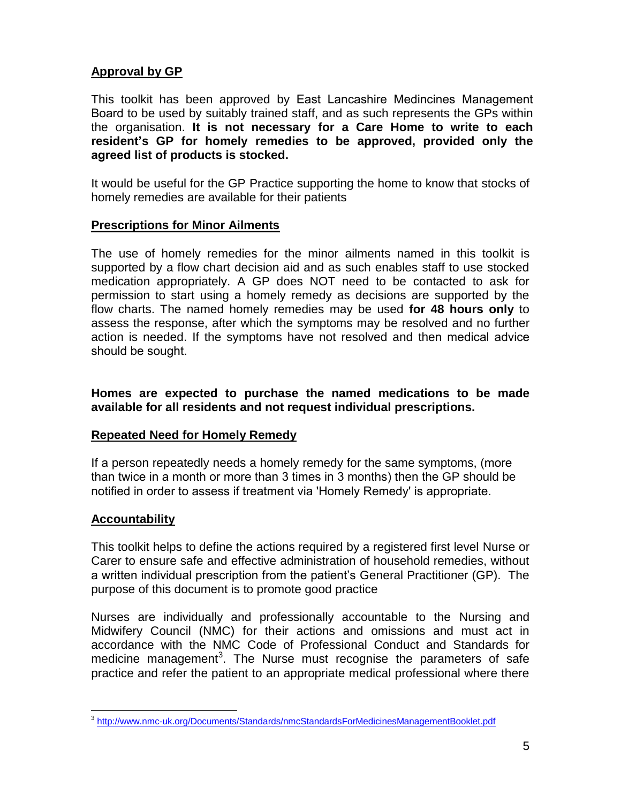# <span id="page-4-0"></span>**Approval by GP**

This toolkit has been approved by East Lancashire Medincines Management Board to be used by suitably trained staff, and as such represents the GPs within the organisation. **It is not necessary for a Care Home to write to each resident's GP for homely remedies to be approved, provided only the agreed list of products is stocked.**

It would be useful for the GP Practice supporting the home to know that stocks of homely remedies are available for their patients

### <span id="page-4-1"></span>**Prescriptions for Minor Ailments**

The use of homely remedies for the minor ailments named in this toolkit is supported by a flow chart decision aid and as such enables staff to use stocked medication appropriately. A GP does NOT need to be contacted to ask for permission to start using a homely remedy as decisions are supported by the flow charts. The named homely remedies may be used **for 48 hours only** to assess the response, after which the symptoms may be resolved and no further action is needed. If the symptoms have not resolved and then medical advice should be sought.

**Homes are expected to purchase the named medications to be made available for all residents and not request individual prescriptions.** 

### <span id="page-4-2"></span>**Repeated Need for Homely Remedy**

If a person repeatedly needs a homely remedy for the same symptoms, (more than twice in a month or more than 3 times in 3 months) then the GP should be notified in order to assess if treatment via 'Homely Remedy' is appropriate.

## <span id="page-4-3"></span>**Accountability**

This toolkit helps to define the actions required by a registered first level Nurse or Carer to ensure safe and effective administration of household remedies, without a written individual prescription from the patient's General Practitioner (GP). The purpose of this document is to promote good practice

Nurses are individually and professionally accountable to the Nursing and Midwifery Council (NMC) for their actions and omissions and must act in accordance with the NMC Code of Professional Conduct and Standards for medicine management<sup>3</sup>. The Nurse must recognise the parameters of safe practice and refer the patient to an appropriate medical professional where there

<sup>&</sup>lt;sup>3</sup> <http://www.nmc-uk.org/Documents/Standards/nmcStandardsForMedicinesManagementBooklet.pdf>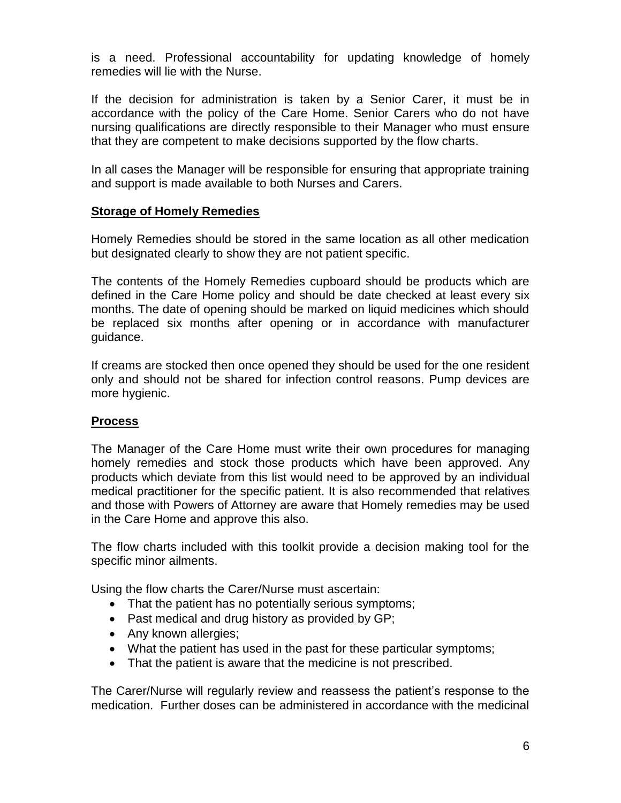is a need. Professional accountability for updating knowledge of homely remedies will lie with the Nurse.

If the decision for administration is taken by a Senior Carer, it must be in accordance with the policy of the Care Home. Senior Carers who do not have nursing qualifications are directly responsible to their Manager who must ensure that they are competent to make decisions supported by the flow charts.

In all cases the Manager will be responsible for ensuring that appropriate training and support is made available to both Nurses and Carers.

### <span id="page-5-0"></span>**Storage of Homely Remedies**

Homely Remedies should be stored in the same location as all other medication but designated clearly to show they are not patient specific.

The contents of the Homely Remedies cupboard should be products which are defined in the Care Home policy and should be date checked at least every six months. The date of opening should be marked on liquid medicines which should be replaced six months after opening or in accordance with manufacturer guidance.

If creams are stocked then once opened they should be used for the one resident only and should not be shared for infection control reasons. Pump devices are more hygienic.

### <span id="page-5-1"></span>**Process**

The Manager of the Care Home must write their own procedures for managing homely remedies and stock those products which have been approved. Any products which deviate from this list would need to be approved by an individual medical practitioner for the specific patient. It is also recommended that relatives and those with Powers of Attorney are aware that Homely remedies may be used in the Care Home and approve this also.

The flow charts included with this toolkit provide a decision making tool for the specific minor ailments.

Using the flow charts the Carer/Nurse must ascertain:

- That the patient has no potentially serious symptoms;
- Past medical and drug history as provided by GP;
- Any known allergies;
- What the patient has used in the past for these particular symptoms;
- That the patient is aware that the medicine is not prescribed.

The Carer/Nurse will regularly review and reassess the patient's response to the medication. Further doses can be administered in accordance with the medicinal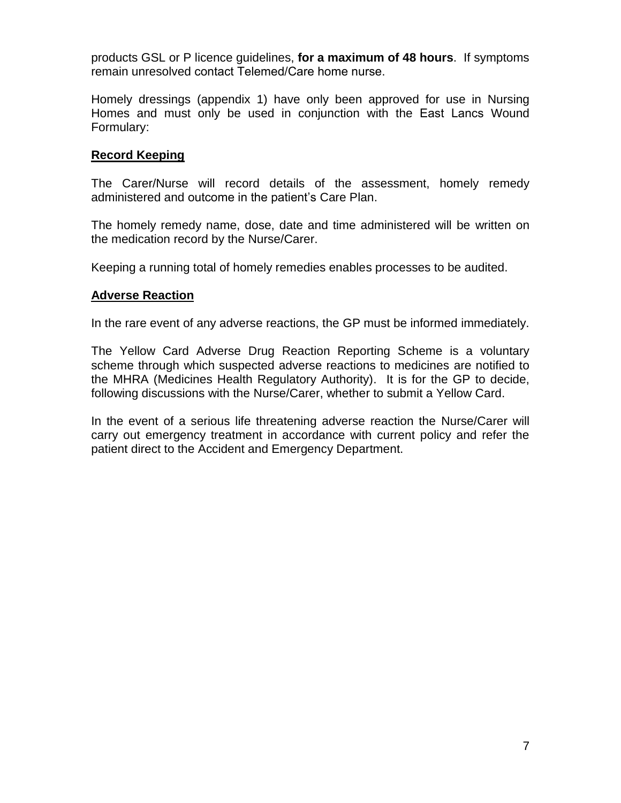products GSL or P licence guidelines, **for a maximum of 48 hours**. If symptoms remain unresolved contact Telemed/Care home nurse.

Homely dressings (appendix 1) have only been approved for use in Nursing Homes and must only be used in conjunction with the East Lancs Wound Formulary:

### <span id="page-6-0"></span>**Record Keeping**

The Carer/Nurse will record details of the assessment, homely remedy administered and outcome in the patient's Care Plan.

The homely remedy name, dose, date and time administered will be written on the medication record by the Nurse/Carer.

Keeping a running total of homely remedies enables processes to be audited.

### <span id="page-6-1"></span>**Adverse Reaction**

In the rare event of any adverse reactions, the GP must be informed immediately.

The Yellow Card Adverse Drug Reaction Reporting Scheme is a voluntary scheme through which suspected adverse reactions to medicines are notified to the MHRA (Medicines Health Regulatory Authority). It is for the GP to decide, following discussions with the Nurse/Carer, whether to submit a Yellow Card.

In the event of a serious life threatening adverse reaction the Nurse/Carer will carry out emergency treatment in accordance with current policy and refer the patient direct to the Accident and Emergency Department.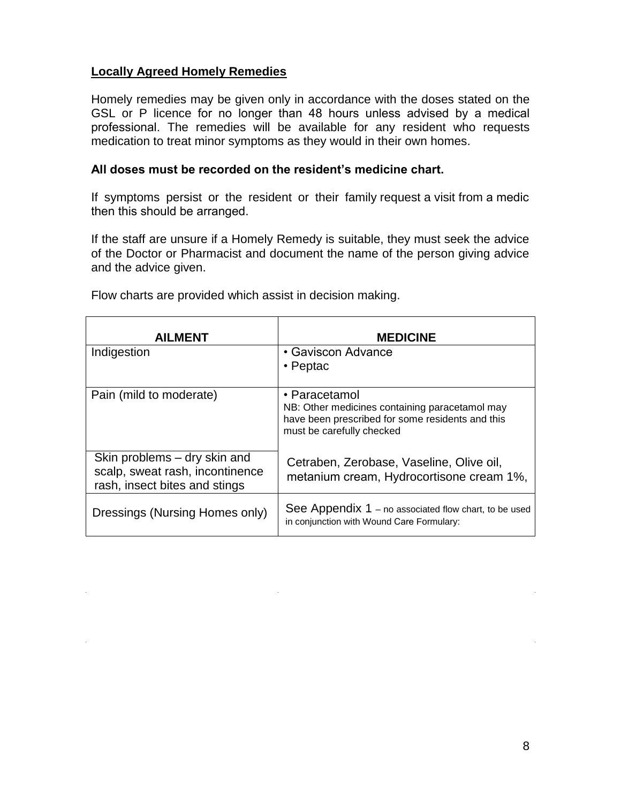### <span id="page-7-0"></span>**Locally Agreed Homely Remedies**

Homely remedies may be given only in accordance with the doses stated on the GSL or P licence for no longer than 48 hours unless advised by a medical professional. The remedies will be available for any resident who requests medication to treat minor symptoms as they would in their own homes.

#### **All doses must be recorded on the resident's medicine chart.**

If symptoms persist or the resident or their family request a visit from a medic then this should be arranged.

If the staff are unsure if a Homely Remedy is suitable, they must seek the advice of the Doctor or Pharmacist and document the name of the person giving advice and the advice given.

| <b>AILMENT</b>                                                                                   | <b>MEDICINE</b>                                                                                                                                  |
|--------------------------------------------------------------------------------------------------|--------------------------------------------------------------------------------------------------------------------------------------------------|
| Indigestion                                                                                      | • Gaviscon Advance<br>$\cdot$ Peptac                                                                                                             |
| Pain (mild to moderate)                                                                          | • Paracetamol<br>NB: Other medicines containing paracetamol may<br>have been prescribed for some residents and this<br>must be carefully checked |
| Skin problems – dry skin and<br>scalp, sweat rash, incontinence<br>rash, insect bites and stings | Cetraben, Zerobase, Vaseline, Olive oil,<br>metanium cream, Hydrocortisone cream 1%,                                                             |
| Dressings (Nursing Homes only)                                                                   | See Appendix 1 – no associated flow chart, to be used<br>in conjunction with Wound Care Formulary:                                               |

Flow charts are provided which assist in decision making.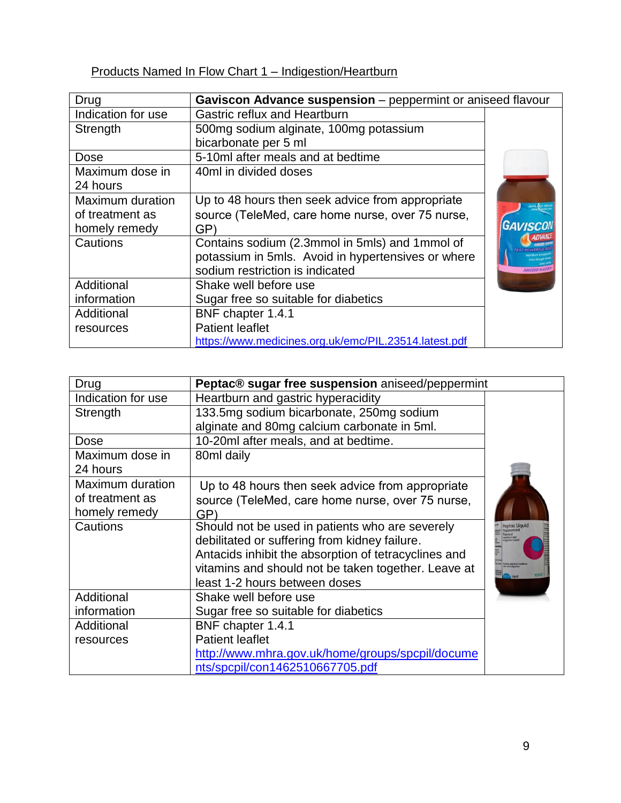# <span id="page-8-1"></span><span id="page-8-0"></span>Products Named In Flow Chart 1 – Indigestion/Heartburn

| Drug               | Gaviscon Advance suspension - peppermint or aniseed flavour |                   |
|--------------------|-------------------------------------------------------------|-------------------|
| Indication for use | <b>Gastric reflux and Heartburn</b>                         |                   |
| Strength           | 500mg sodium alginate, 100mg potassium                      |                   |
|                    | bicarbonate per 5 ml                                        |                   |
| Dose               | 5-10ml after meals and at bedtime                           |                   |
| Maximum dose in    | 40ml in divided doses                                       |                   |
| 24 hours           |                                                             |                   |
| Maximum duration   | Up to 48 hours then seek advice from appropriate            |                   |
| of treatment as    | source (TeleMed, care home nurse, over 75 nurse,            |                   |
| homely remedy      | GP)                                                         | <b>GAVISCO</b>    |
| Cautions           | Contains sodium (2.3mmol in 5mls) and 1mmol of              |                   |
|                    | potassium in 5mls. Avoid in hypertensives or where          |                   |
|                    | sodium restriction is indicated                             | <b>ANISEED FL</b> |
| Additional         | Shake well before use                                       |                   |
| information        | Sugar free so suitable for diabetics                        |                   |
| Additional         | BNF chapter 1.4.1                                           |                   |
| resources          | <b>Patient leaflet</b>                                      |                   |
|                    | https://www.medicines.org.uk/emc/PIL.23514.latest.pdf       |                   |

<span id="page-8-2"></span>

| Drug               | Peptac® sugar free suspension aniseed/peppermint     |                         |
|--------------------|------------------------------------------------------|-------------------------|
| Indication for use | Heartburn and gastric hyperacidity                   |                         |
| Strength           | 133.5mg sodium bicarbonate, 250mg sodium             |                         |
|                    | alginate and 80mg calcium carbonate in 5ml.          |                         |
| Dose               | 10-20ml after meals, and at bedtime.                 |                         |
| Maximum dose in    | 80ml daily                                           |                         |
| 24 hours           |                                                      |                         |
| Maximum duration   | Up to 48 hours then seek advice from appropriate     |                         |
| of treatment as    | source (TeleMed, care home nurse, over 75 nurse,     |                         |
| homely remedy      | GP)                                                  |                         |
| Cautions           | Should not be used in patients who are severely      | Peptac Liquid<br>Tuovol |
|                    | debilitated or suffering from kidney failure.        |                         |
|                    | Antacids inhibit the absorption of tetracyclines and |                         |
|                    | vitamins and should not be taken together. Leave at  |                         |
|                    | least 1-2 hours between doses                        |                         |
| Additional         | Shake well before use                                |                         |
| information        | Sugar free so suitable for diabetics                 |                         |
| Additional         | BNF chapter 1.4.1                                    |                         |
| resources          | <b>Patient leaflet</b>                               |                         |
|                    | http://www.mhra.gov.uk/home/groups/spcpil/docume     |                         |
|                    | nts/spcpil/con1462510667705.pdf                      |                         |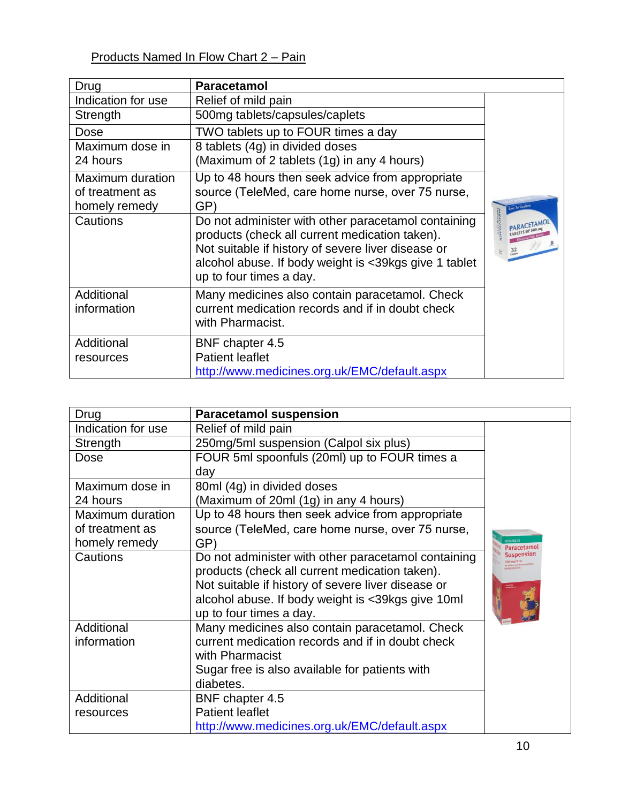# <span id="page-9-1"></span><span id="page-9-0"></span>Products Named In Flow Chart 2 – Pain

| Drug                      | <b>Paracetamol</b>                                                                                                                                                                                                                              |                 |
|---------------------------|-------------------------------------------------------------------------------------------------------------------------------------------------------------------------------------------------------------------------------------------------|-----------------|
| Indication for use        | Relief of mild pain                                                                                                                                                                                                                             |                 |
| Strength                  | 500mg tablets/capsules/caplets                                                                                                                                                                                                                  |                 |
| Dose                      | TWO tablets up to FOUR times a day                                                                                                                                                                                                              |                 |
| Maximum dose in           | 8 tablets (4g) in divided doses                                                                                                                                                                                                                 |                 |
| 24 hours                  | (Maximum of 2 tablets (1g) in any 4 hours)                                                                                                                                                                                                      |                 |
| Maximum duration          | Up to 48 hours then seek advice from appropriate                                                                                                                                                                                                |                 |
| of treatment as           | source (TeleMed, care home nurse, over 75 nurse,                                                                                                                                                                                                |                 |
| homely remedy             | GP)                                                                                                                                                                                                                                             | Fasy To Swallow |
| Cautions                  | Do not administer with other paracetamol containing<br>products (check all current medication taken).<br>Not suitable if history of severe liver disease or<br>alcohol abuse. If body weight is <39kgs give 1 tablet<br>up to four times a day. |                 |
| Additional<br>information | Many medicines also contain paracetamol. Check<br>current medication records and if in doubt check                                                                                                                                              |                 |
|                           | with Pharmacist.                                                                                                                                                                                                                                |                 |
| Additional                | BNF chapter 4.5                                                                                                                                                                                                                                 |                 |
| resources                 | <b>Patient leaflet</b>                                                                                                                                                                                                                          |                 |
|                           | http://www.medicines.org.uk/EMC/default.aspx                                                                                                                                                                                                    |                 |

<span id="page-9-2"></span>

| Drug               | <b>Paracetamol suspension</b>                       |            |
|--------------------|-----------------------------------------------------|------------|
| Indication for use | Relief of mild pain                                 |            |
| Strength           | 250mg/5ml suspension (Calpol six plus)              |            |
| Dose               | FOUR 5ml spoonfuls (20ml) up to FOUR times a        |            |
|                    | day                                                 |            |
| Maximum dose in    | 80ml (4g) in divided doses                          |            |
| 24 hours           | (Maximum of 20ml (1g) in any 4 hours)               |            |
| Maximum duration   | Up to 48 hours then seek advice from appropriate    |            |
| of treatment as    | source (TeleMed, care home nurse, over 75 nurse,    |            |
| homely remedy      | GP)                                                 | Paracetamo |
| Cautions           | Do not administer with other paracetamol containing | Suspension |
|                    | products (check all current medication taken).      |            |
|                    | Not suitable if history of severe liver disease or  |            |
|                    | alcohol abuse. If body weight is <39kgs give 10ml   |            |
|                    | up to four times a day.                             |            |
| Additional         | Many medicines also contain paracetamol. Check      |            |
| information        | current medication records and if in doubt check    |            |
|                    | with Pharmacist                                     |            |
|                    | Sugar free is also available for patients with      |            |
|                    | diabetes.                                           |            |
| Additional         | BNF chapter 4.5                                     |            |
| resources          | <b>Patient leaflet</b>                              |            |
|                    | http://www.medicines.org.uk/EMC/default.aspx        |            |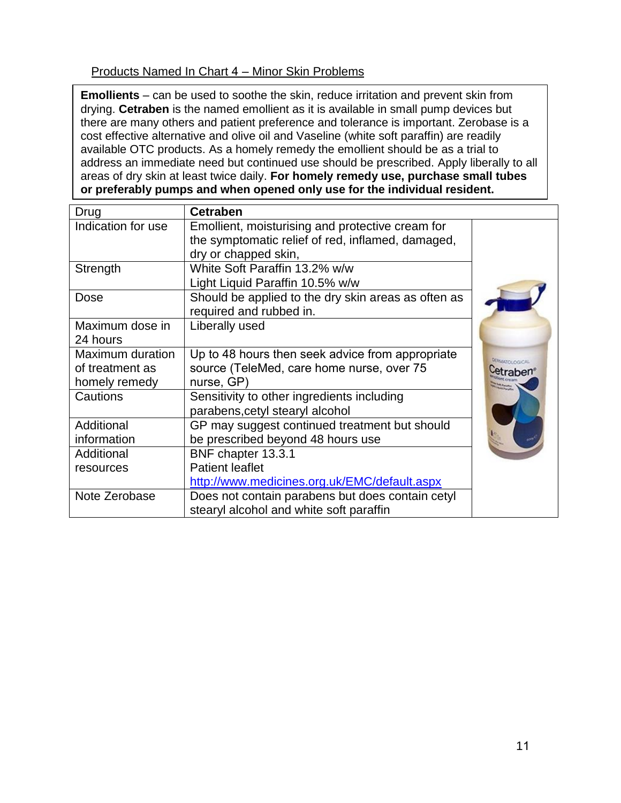# <span id="page-10-0"></span>Products Named In Chart 4 – Minor Skin Problems

**Emollients** – can be used to soothe the skin, reduce irritation and prevent skin from drying. **Cetraben** is the named emollient as it is available in small pump devices but there are many others and patient preference and tolerance is important. Zerobase is a cost effective alternative and olive oil and Vaseline (white soft paraffin) are readily available OTC products. As a homely remedy the emollient should be as a trial to address an immediate need but continued use should be prescribed. Apply liberally to all areas of dry skin at least twice daily. **For homely remedy use, purchase small tubes or preferably pumps and when opened only use for the individual resident.** 

| Drug               | <b>Cetraben</b>                                     |                       |
|--------------------|-----------------------------------------------------|-----------------------|
| Indication for use | Emollient, moisturising and protective cream for    |                       |
|                    | the symptomatic relief of red, inflamed, damaged,   |                       |
|                    | dry or chapped skin,                                |                       |
| Strength           | White Soft Paraffin 13.2% w/w                       |                       |
|                    | Light Liquid Paraffin 10.5% w/w                     |                       |
| Dose               | Should be applied to the dry skin areas as often as |                       |
|                    | required and rubbed in.                             |                       |
| Maximum dose in    | Liberally used                                      |                       |
| 24 hours           |                                                     |                       |
| Maximum duration   | Up to 48 hours then seek advice from appropriate    | <b>DERMATOLOGICAL</b> |
| of treatment as    | source (TeleMed, care home nurse, over 75           | etraben               |
| homely remedy      | nurse, GP)                                          |                       |
| Cautions           | Sensitivity to other ingredients including          |                       |
|                    | parabens, cetyl stearyl alcohol                     |                       |
| Additional         | GP may suggest continued treatment but should       |                       |
| information        | be prescribed beyond 48 hours use                   |                       |
| Additional         | BNF chapter 13.3.1                                  |                       |
| resources          | <b>Patient leaflet</b>                              |                       |
|                    | http://www.medicines.org.uk/EMC/default.aspx        |                       |
| Note Zerobase      | Does not contain parabens but does contain cetyl    |                       |
|                    | stearyl alcohol and white soft paraffin             |                       |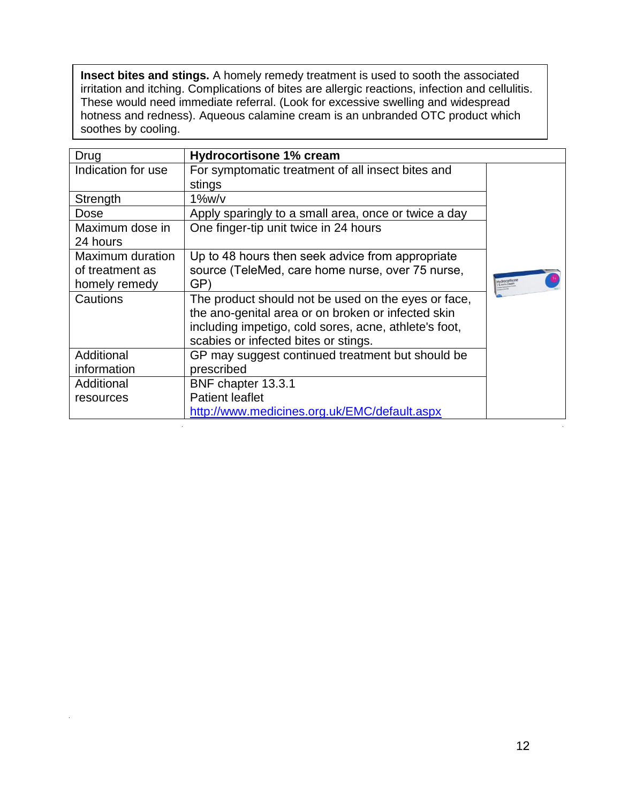**Insect bites and stings.** A homely remedy treatment is used to sooth the associated irritation and itching. Complications of bites are allergic reactions, infection and cellulitis. These would need immediate referral. (Look for excessive swelling and widespread hotness and redness). Aqueous calamine cream is an unbranded OTC product which soothes by cooling.

| Drug                    | <b>Hydrocortisone 1% cream</b>                        |              |
|-------------------------|-------------------------------------------------------|--------------|
| Indication for use      | For symptomatic treatment of all insect bites and     |              |
|                         | stings                                                |              |
| Strength                | $1\%$ w/v                                             |              |
| Dose                    | Apply sparingly to a small area, once or twice a day  |              |
| Maximum dose in         | One finger-tip unit twice in 24 hours                 |              |
| 24 hours                |                                                       |              |
| <b>Maximum duration</b> | Up to 48 hours then seek advice from appropriate      |              |
| of treatment as         | source (TeleMed, care home nurse, over 75 nurse,      |              |
| homely remedy           | GP)                                                   | lydrocorfiso |
| Cautions                | The product should not be used on the eyes or face,   |              |
|                         | the ano-genital area or on broken or infected skin    |              |
|                         | including impetigo, cold sores, acne, athlete's foot, |              |
|                         | scabies or infected bites or stings.                  |              |
| Additional              | GP may suggest continued treatment but should be      |              |
| information             | prescribed                                            |              |
| Additional              | BNF chapter 13.3.1                                    |              |
| resources               | <b>Patient leaflet</b>                                |              |
|                         | http://www.medicines.org.uk/EMC/default.aspx          |              |

 $\sim$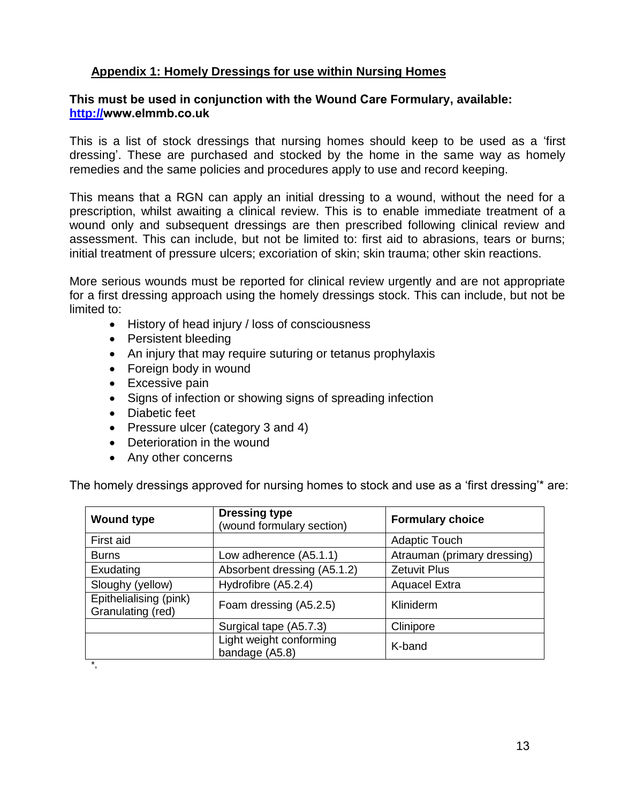# **Appendix 1: Homely Dressings for use within Nursing Homes**

### **This must be used in conjunction with the Wound Care Formulary, available: http://www.elmmb.co[.uk](http://cms.horizonsp.co.uk/viewer/sept/woundformulary)**

This is a list of stock dressings that nursing homes should keep to be used as a 'first dressing'. These are purchased and stocked by the home in the same way as homely remedies and the same policies and procedures apply to use and record keeping.

This means that a RGN can apply an initial dressing to a wound, without the need for a prescription, whilst awaiting a clinical review. This is to enable immediate treatment of a wound only and subsequent dressings are then prescribed following clinical review and assessment. This can include, but not be limited to: first aid to abrasions, tears or burns; initial treatment of pressure ulcers; excoriation of skin; skin trauma; other skin reactions.

More serious wounds must be reported for clinical review urgently and are not appropriate for a first dressing approach using the homely dressings stock. This can include, but not be limited to:

- History of head injury / loss of consciousness
- Persistent bleeding
- An injury that may require suturing or tetanus prophylaxis
- Foreign body in wound
- Excessive pain
- Signs of infection or showing signs of spreading infection
- Diabetic feet
- Pressure ulcer (category 3 and 4)
- Deterioration in the wound
- Any other concerns

The homely dressings approved for nursing homes to stock and use as a 'first dressing'\* are:

| <b>Wound type</b>                           | <b>Dressing type</b><br>(wound formulary section) | <b>Formulary choice</b>     |
|---------------------------------------------|---------------------------------------------------|-----------------------------|
| First aid                                   |                                                   | <b>Adaptic Touch</b>        |
| <b>Burns</b>                                | Low adherence (A5.1.1)                            | Atrauman (primary dressing) |
| Exudating                                   | Absorbent dressing (A5.1.2)                       | <b>Zetuvit Plus</b>         |
| Sloughy (yellow)                            | Hydrofibre (A5.2.4)                               | <b>Aquacel Extra</b>        |
| Epithelialising (pink)<br>Granulating (red) | Foam dressing (A5.2.5)                            | Kliniderm                   |
|                                             | Surgical tape (A5.7.3)                            | Clinipore                   |
|                                             | Light weight conforming<br>bandage (A5.8)         | K-band                      |
| $\star$                                     |                                                   |                             |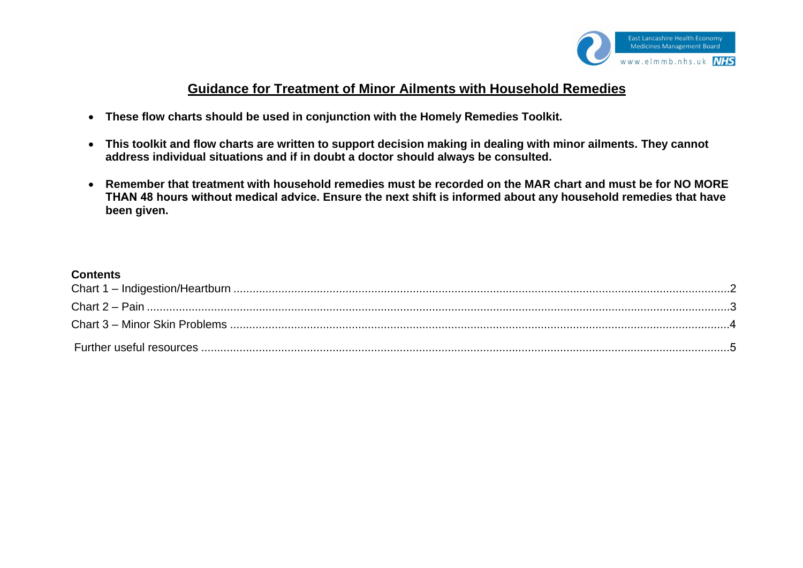

# **Guidance for Treatment of Minor Ailments with Household Remedies**

- **These flow charts should be used in conjunction with the Homely Remedies Toolkit.**
- **This toolkit and flow charts are written to support decision making in dealing with minor ailments. They cannot address individual situations and if in doubt a doctor should always be consulted.**
- **Remember that treatment with household remedies must be recorded on the MAR chart and must be for NO MORE THAN 48 hours without medical advice. Ensure the next shift is informed about any household remedies that have been given.**

#### **Contents**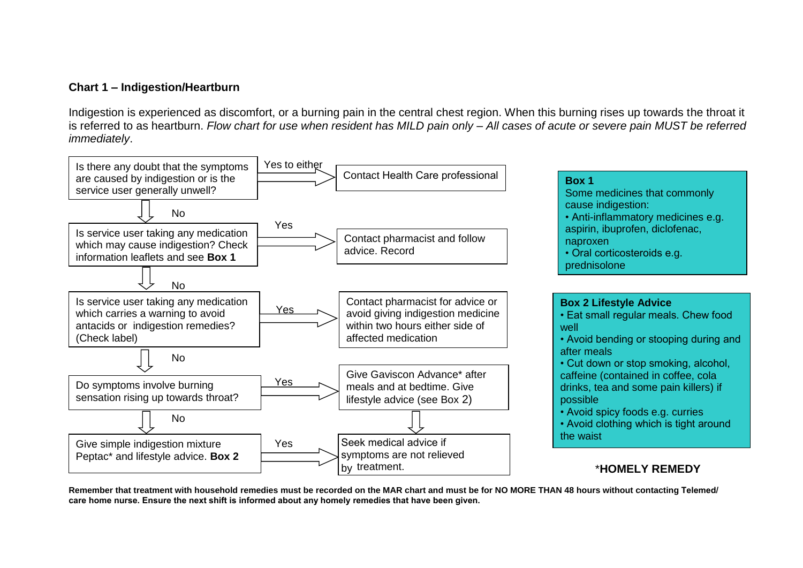### <span id="page-14-0"></span>**Chart 1 – Indigestion/Heartburn**

Indigestion is experienced as discomfort, or a burning pain in the central chest region. When this burning rises up towards the throat it is referred to as heartburn. *Flow chart for use when resident has MILD pain only – All cases of acute or severe pain MUST be referred immediately*.



**Remember that treatment with household remedies must be recorded on the MAR chart and must be for NO MORE THAN 48 hours without contacting Telemed/ care home nurse. Ensure the next shift is informed about any homely remedies that have been given.**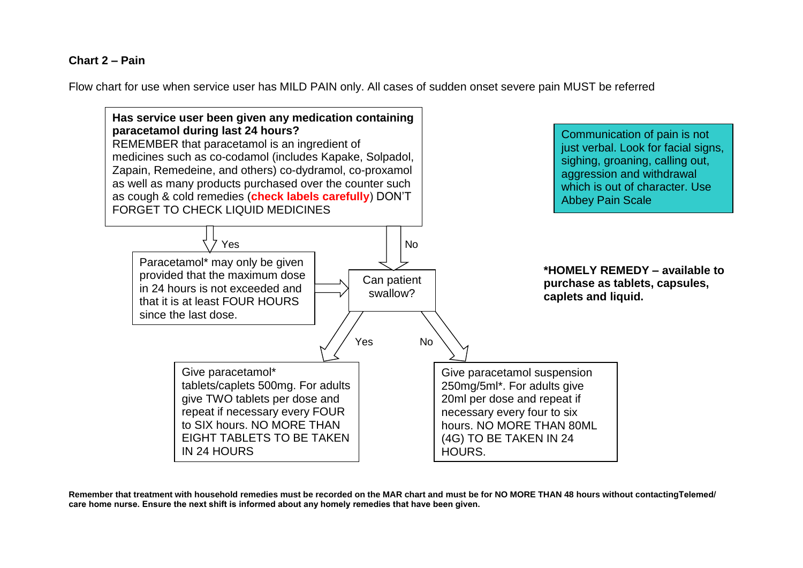### <span id="page-15-0"></span>**Chart 2 – Pain**

Flow chart for use when service user has MILD PAIN only. All cases of sudden onset severe pain MUST be referred



**Remember that treatment with household remedies must be recorded on the MAR chart and must be for NO MORE THAN 48 hours without contactingTelemed/ care home nurse. Ensure the next shift is informed about any homely remedies that have been given.**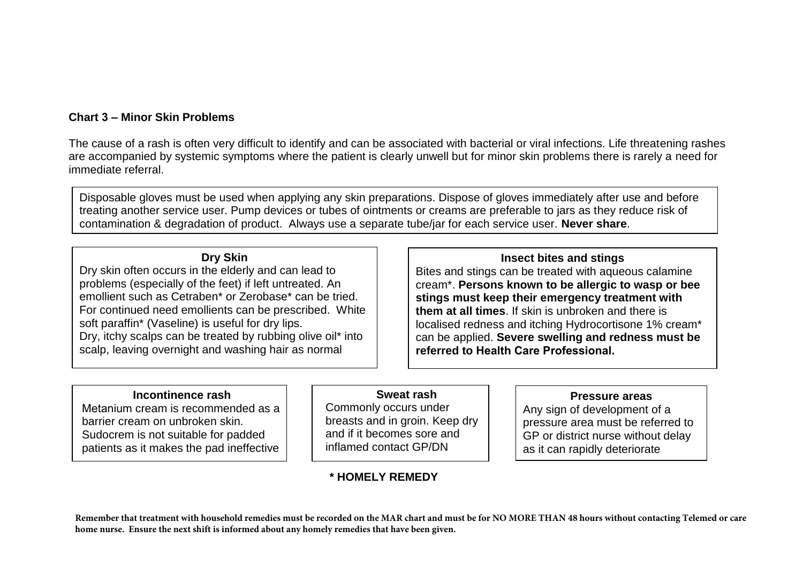### **Chart 3 – Minor Skin Problems**

The cause of a rash is often very difficult to identify and can be associated with bacterial or viral infections. Life threatening rashes are accompanied by systemic symptoms where the patient is clearly unwell but for minor skin problems there is rarely a need for immediate referral.

Disposable gloves must be used when applying any skin preparations. Dispose of gloves immediately after use and before treating another service user. Pump devices or tubes of ointments or creams are preferable to jars as they reduce risk of contamination & degradation of product. Always use a separate tube/jar for each service user. **Never share**.

### **Dry Skin**

Dry skin often occurs in the elderly and can lead to problems (especially of the feet) if left untreated. An emollient such as Cetraben\* or Zerobase\* can be tried. For continued need emollients can be prescribed. White soft paraffin\* (Vaseline) is useful for dry lips. Dry, itchy scalps can be treated by rubbing olive oil\* into scalp, leaving overnight and washing hair as normal

### **Insect bites and stings**

Bites and stings can be treated with aqueous calamine cream\*. **Persons known to be allergic to wasp or bee stings must keep their emergency treatment with them at all times**. If skin is unbroken and there is localised redness and itching Hydrocortisone 1% cream\* can be applied. **Severe swelling and redness must be referred to Health Care Professional.**

### **Incontinence rash**

Metanium cream is recommended as a barrier cream on unbroken skin. Sudocrem is not suitable for padded patients as it makes the pad ineffective

### **Sweat rash**

Commonly occurs under breasts and in groin. Keep dry and if it becomes sore and inflamed contact GP/DN

# **\* HOMELY REMEDY**

#### **Pressure areas**

Any sign of development of a pressure area must be referred to GP or district nurse without delay as it can rapidly deteriorate

**Remember that treatment with household remedies must be recorded on the MAR chart and must be for NO MORE THAN 48 hours without contacting Telemed or care home nurse. Ensure the next shift is informed about any homely remedies that have been given.**